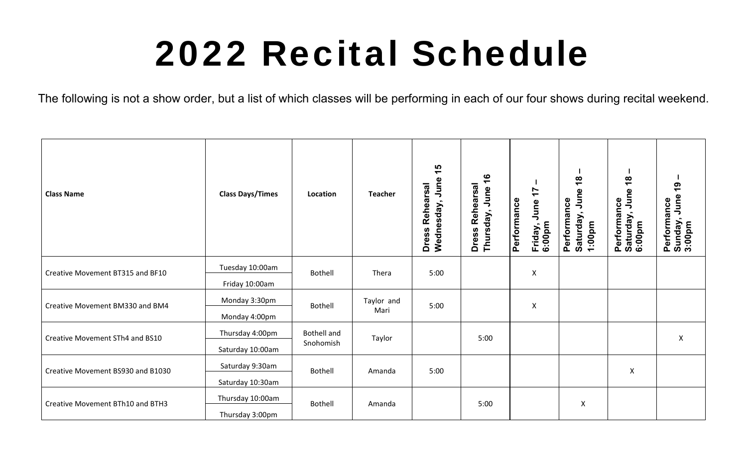## 2022 Recital Schedule

The following is not a show order, but a list of which classes will be performing in each of our four shows during recital weekend.

| <b>Class Name</b>                 | <b>Class Days/Times</b> | Location                        | <b>Teacher</b> | $\frac{1}{2}$<br>June<br><b>Rehearsal</b><br>Wednesday,<br>Dress | $\frac{6}{5}$<br><b>Dress Rehearsal</b><br>Thursday, June | $\ddot{ }$<br>Performance<br>June<br>Friday, .<br>6:00pm | $\frac{8}{10}$<br>June<br>Performance<br>Saturday,<br>1:00pm | $\frac{8}{1}$<br>June<br>Performance<br>Saturday, Jun<br>6:00pm | <u>ღ</u><br>Performance<br>Sunday, June ´<br>3:00pm |
|-----------------------------------|-------------------------|---------------------------------|----------------|------------------------------------------------------------------|-----------------------------------------------------------|----------------------------------------------------------|--------------------------------------------------------------|-----------------------------------------------------------------|-----------------------------------------------------|
| Creative Movement BT315 and BF10  | Tuesday 10:00am         | Bothell                         | Thera          | 5:00                                                             |                                                           | Χ                                                        |                                                              |                                                                 |                                                     |
|                                   | Friday 10:00am          |                                 |                |                                                                  |                                                           |                                                          |                                                              |                                                                 |                                                     |
| Creative Movement BM330 and BM4   | Monday 3:30pm           | <b>Bothell</b>                  | Taylor and     | 5:00                                                             |                                                           | $\pmb{\mathsf{X}}$                                       |                                                              |                                                                 |                                                     |
|                                   | Monday 4:00pm           |                                 | Mari           |                                                                  |                                                           |                                                          |                                                              | Χ                                                               |                                                     |
| Creative Movement STh4 and BS10   | Thursday 4:00pm         | <b>Bothell and</b><br>Snohomish | Taylor         |                                                                  | 5:00                                                      |                                                          |                                                              |                                                                 | X                                                   |
|                                   | Saturday 10:00am        |                                 |                |                                                                  |                                                           |                                                          |                                                              |                                                                 |                                                     |
| Creative Movement BS930 and B1030 | Saturday 9:30am         | <b>Bothell</b>                  | Amanda         | 5:00                                                             |                                                           |                                                          |                                                              |                                                                 |                                                     |
|                                   | Saturday 10:30am        |                                 |                |                                                                  |                                                           |                                                          |                                                              |                                                                 |                                                     |
| Creative Movement BTh10 and BTH3  | Thursday 10:00am        | <b>Bothell</b>                  | Amanda         |                                                                  | 5:00                                                      |                                                          | Χ                                                            |                                                                 |                                                     |
|                                   | Thursday 3:00pm         |                                 |                |                                                                  |                                                           |                                                          |                                                              |                                                                 |                                                     |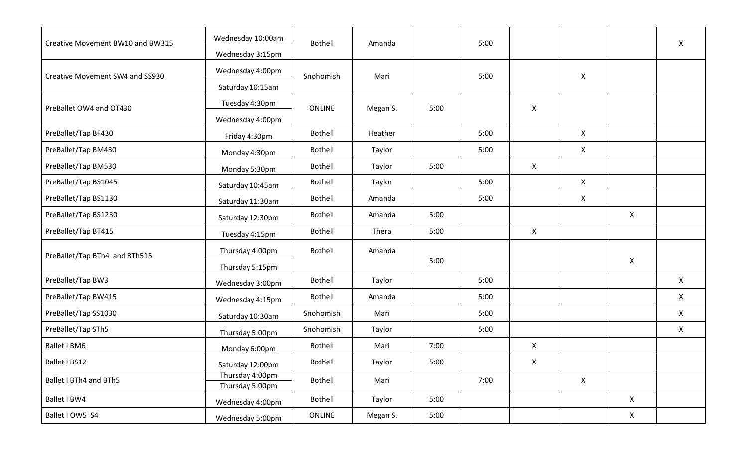| Creative Movement BW10 and BW315 | Wednesday 10:00am                  | Bothell       | Amanda   |      | 5:00 |                |                    |              | $\mathsf{X}$ |
|----------------------------------|------------------------------------|---------------|----------|------|------|----------------|--------------------|--------------|--------------|
|                                  | Wednesday 3:15pm                   |               |          |      |      |                |                    |              |              |
| Creative Movement SW4 and SS930  | Wednesday 4:00pm                   | Snohomish     | Mari     |      | 5:00 |                | $\mathsf{X}$       |              |              |
|                                  | Saturday 10:15am                   |               |          |      |      |                |                    | X<br>X       |              |
| PreBallet OW4 and OT430          | Tuesday 4:30pm                     | <b>ONLINE</b> | Megan S. | 5:00 |      | X              |                    |              |              |
|                                  | Wednesday 4:00pm                   |               |          |      |      |                |                    |              |              |
| PreBallet/Tap BF430              | Friday 4:30pm                      | Bothell       | Heather  |      | 5:00 |                | $\mathsf{X}$       |              |              |
| PreBallet/Tap BM430              | Monday 4:30pm                      | Bothell       | Taylor   |      | 5:00 |                | $\mathsf{X}$       |              |              |
| PreBallet/Tap BM530              | Monday 5:30pm                      | Bothell       | Taylor   | 5:00 |      | X              |                    |              |              |
| PreBallet/Tap BS1045             | Saturday 10:45am                   | Bothell       | Taylor   |      | 5:00 |                | $\mathsf{X}$       |              |              |
| PreBallet/Tap BS1130             | Saturday 11:30am                   | Bothell       | Amanda   |      | 5:00 |                | $\pmb{\mathsf{X}}$ |              |              |
| PreBallet/Tap BS1230             | Saturday 12:30pm                   | Bothell       | Amanda   | 5:00 |      |                |                    |              |              |
| PreBallet/Tap BT415              | Tuesday 4:15pm                     | Bothell       | Thera    | 5:00 |      | X              |                    |              |              |
| PreBallet/Tap BTh4 and BTh515    | Thursday 4:00pm                    | Bothell       | Amanda   |      |      |                |                    |              |              |
|                                  | Thursday 5:15pm                    |               |          | 5:00 |      |                |                    |              |              |
| PreBallet/Tap BW3                | Wednesday 3:00pm                   | Bothell       | Taylor   |      | 5:00 |                |                    |              | $\mathsf{X}$ |
| PreBallet/Tap BW415              | Wednesday 4:15pm                   | Bothell       | Amanda   |      | 5:00 |                |                    |              | $\mathsf{X}$ |
| PreBallet/Tap SS1030             | Saturday 10:30am                   | Snohomish     | Mari     |      | 5:00 |                |                    |              | X            |
| PreBallet/Tap STh5               | Thursday 5:00pm                    | Snohomish     | Taylor   |      | 5:00 |                |                    |              | $\mathsf{X}$ |
| Ballet I BM6                     | Monday 6:00pm                      | Bothell       | Mari     | 7:00 |      | X              |                    |              |              |
| Ballet I BS12                    | Saturday 12:00pm                   | Bothell       | Taylor   | 5:00 |      | $\pmb{\times}$ |                    |              |              |
| Ballet I BTh4 and BTh5           | Thursday 4:00pm<br>Thursday 5:00pm | Bothell       | Mari     |      | 7:00 |                | $\pmb{\mathsf{X}}$ |              |              |
| Ballet I BW4                     | Wednesday 4:00pm                   | Bothell       | Taylor   | 5:00 |      |                |                    | $\mathsf{X}$ |              |
| Ballet I OW5 S4                  | Wednesday 5:00pm                   | ONLINE        | Megan S. | 5:00 |      |                |                    | X            |              |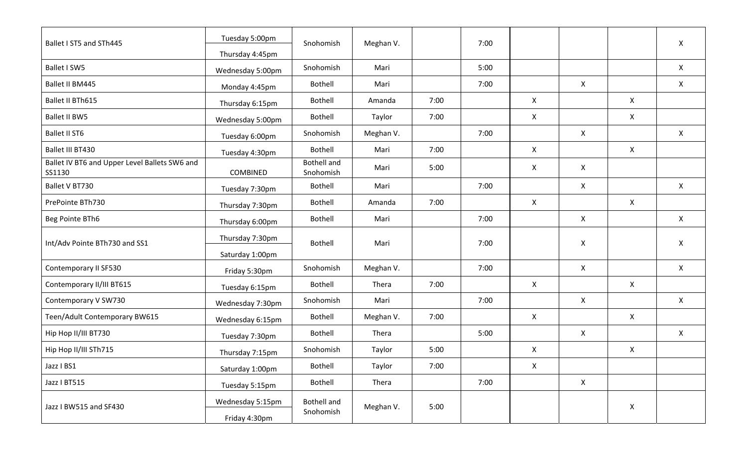| Ballet I ST5 and STh445                                 | Tuesday 5:00pm                    | Snohomish                       | Meghan V. |      | 7:00 |                    |              |              | $\mathsf{X}$              |
|---------------------------------------------------------|-----------------------------------|---------------------------------|-----------|------|------|--------------------|--------------|--------------|---------------------------|
|                                                         | Thursday 4:45pm                   |                                 |           |      |      |                    |              |              |                           |
| Ballet I SW5                                            | Wednesday 5:00pm                  | Snohomish                       | Mari      |      | 5:00 |                    |              |              | $\mathsf{X}$              |
| Ballet II BM445                                         | Monday 4:45pm                     | Bothell                         | Mari      |      | 7:00 |                    | $\mathsf{X}$ |              | $\mathsf{X}$              |
| Ballet II BTh615                                        | Thursday 6:15pm                   | Bothell                         | Amanda    | 7:00 |      | X                  |              | X            |                           |
| <b>Ballet II BW5</b>                                    | Wednesday 5:00pm                  | Bothell                         | Taylor    | 7:00 |      | X                  |              | X            |                           |
| Ballet II ST6                                           | Tuesday 6:00pm                    | Snohomish                       | Meghan V. |      | 7:00 |                    | $\mathsf{X}$ |              | $\mathsf{X}$              |
| Ballet III BT430                                        | Tuesday 4:30pm                    | Bothell                         | Mari      | 7:00 |      | X                  |              | X            |                           |
| Ballet IV BT6 and Upper Level Ballets SW6 and<br>SS1130 | COMBINED                          | <b>Bothell and</b><br>Snohomish | Mari      | 5:00 |      | $\mathsf{X}$       | $\mathsf{X}$ |              |                           |
| Ballet V BT730                                          | Tuesday 7:30pm                    | Bothell                         | Mari      |      | 7:00 |                    | $\mathsf{X}$ |              | $\mathsf{X}$              |
| PrePointe BTh730                                        | Thursday 7:30pm                   | Bothell                         | Amanda    | 7:00 |      | $\mathsf{X}$       |              | X            |                           |
| Beg Pointe BTh6                                         | Thursday 6:00pm                   | Bothell                         | Mari      |      | 7:00 |                    | $\mathsf{X}$ |              | $\mathsf{X}$              |
| Int/Adv Pointe BTh730 and SS1                           | Thursday 7:30pm                   | Bothell                         | Mari      |      | 7:00 |                    | X            |              | $\boldsymbol{\mathsf{X}}$ |
|                                                         | Saturday 1:00pm                   |                                 |           |      |      |                    |              |              |                           |
| Contemporary II SF530                                   | Friday 5:30pm                     | Snohomish                       | Meghan V. |      | 7:00 |                    | $\mathsf{X}$ |              | $\mathsf{X}$              |
| Contemporary II/III BT615                               | Tuesday 6:15pm                    | Bothell                         | Thera     | 7:00 |      | $\mathsf{X}$       |              | $\mathsf{X}$ |                           |
| Contemporary V SW730                                    | Wednesday 7:30pm                  | Snohomish                       | Mari      |      | 7:00 |                    | $\mathsf{X}$ |              | $\pmb{\mathsf{X}}$        |
| Teen/Adult Contemporary BW615                           | Wednesday 6:15pm                  | Bothell                         | Meghan V. | 7:00 |      | X                  |              | X            |                           |
| Hip Hop II/III BT730                                    | Tuesday 7:30pm                    | Bothell                         | Thera     |      | 5:00 |                    | $\mathsf{X}$ |              | $\sf X$                   |
| Hip Hop II/III STh715                                   | Thursday 7:15pm                   | Snohomish                       | Taylor    | 5:00 |      | $\mathsf{X}$       |              | X            |                           |
| Jazz I BS1                                              | Saturday 1:00pm                   | Bothell                         | Taylor    | 7:00 |      | $\pmb{\mathsf{X}}$ |              |              |                           |
| Jazz I BT515                                            | Tuesday 5:15pm                    | <b>Bothell</b>                  | Thera     |      | 7:00 |                    | $\mathsf{X}$ |              |                           |
| Jazz I BW515 and SF430                                  | Wednesday 5:15pm<br>Friday 4:30pm | <b>Bothell and</b><br>Snohomish | Meghan V. | 5:00 |      |                    |              | X            |                           |